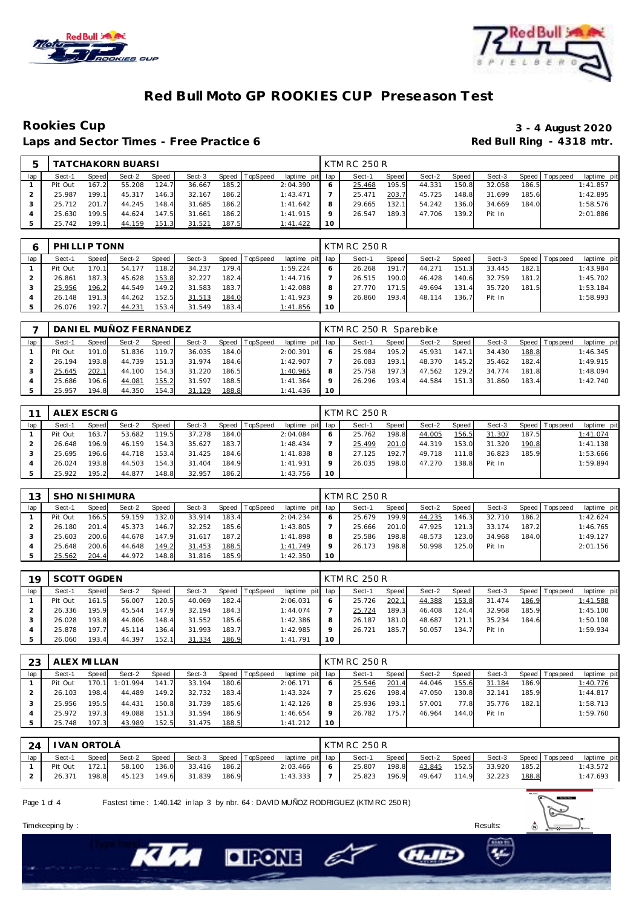



### **Red Bull Moto GP ROOKIES CUP Preseason Test**

Laps and Sector Times - Free Practice 6

## **Rookies Cup 3 - 4 August 2020**

|     |         |       | TATCHAKORN BUARSI |              |        |       |                 |                 |    | KTM RC 250 R |       |        |       |        |       |                 |             |
|-----|---------|-------|-------------------|--------------|--------|-------|-----------------|-----------------|----|--------------|-------|--------|-------|--------|-------|-----------------|-------------|
| lap | Sect-1  | Speed | Sect-2            | <b>Speed</b> | Sect-3 | Speed | <b>TopSpeed</b> | laptime pit lap |    | Sect-1       | Speed | Sect-2 | Speed | Sect-3 |       | Speed Tops peed | laptime pit |
|     | Pit Out | 167.2 | 55.208            | 124.7        | 36.667 | 185.2 |                 | 2:04.390        |    | 25.468       | 195.5 | 44.331 | 150.8 | 32.058 | 186.5 |                 | 1:41.857    |
|     | 25.987  | 199.1 | 45.317            | 146.3        | 32.167 | 186.2 |                 | 1:43.471        |    | 25.471       | 203.7 | 45.725 | 148.8 | 31.699 | 185.6 |                 | 1:42.895    |
|     | 25.712  | 201.7 | 44.245            | 148.4        | 31.685 | 186.2 |                 | 1:41.642        |    | 29.665       | 132.1 | 54.242 | 136.0 | 34.669 | 184.0 |                 | 1:58.576    |
|     | 25.630  | 199.5 | 44.624            | 147.5        | 31.661 | 186.2 |                 | 1:41.915        |    | 26.547       | 189.3 | 47.706 | 139.2 | Pit In |       |                 | 2:01.886    |
|     | 25.742  | 199.1 | 44.159            | 151.3        | 31.521 | 187.5 |                 | 1:41.422        | 10 |              |       |        |       |        |       |                 |             |

|     | PHILLIP TONN |        |        |       |        |       |                  |                 |    | <b>KTM RC 250 R</b> |       |        |       |        |       |                |             |
|-----|--------------|--------|--------|-------|--------|-------|------------------|-----------------|----|---------------------|-------|--------|-------|--------|-------|----------------|-------------|
| lap | Sect-1       | Speed  | Sect-2 | Speed | Sect-3 |       | Speed   TopSpeed | laptime pit lap |    | Sect-1              | Speed | Sect-2 | Speed | Sect-3 |       | Speed Topspeed | laptime pit |
|     | Pit Out      | 170.11 | 54.177 | 118.2 | 34.237 | 179.4 |                  | 1:59.224        | 6  | 26.268              | 191.7 | 44.271 | 151.3 | 33.445 | 182.1 |                | 1:43.984    |
|     | 26.861       | 187.3  | 45.628 | 153.8 | 32.227 | 182.4 |                  | 1:44.716        |    | 26.515              | 190.0 | 46.428 | 140.6 | 32.759 | 181.2 |                | 1:45.702    |
|     | 25.956       | 196.2  | 44.549 | 149.2 | 31.583 | 183.7 |                  | 1:42.088        |    | 27.770              | 171.5 | 49.694 | 131.4 | 35.720 | 181.5 |                | 1:53.184    |
|     | 26.148       | 191.3  | 44.262 | 152.5 | 31.513 | 184.0 |                  | 1:41.923        |    | 26.860              | 193.4 | 48.114 | 136.7 | Pit In |       |                | 1:58.993    |
|     | 26.076       | 192.7  | 44.231 | 153.4 | 31.549 | 183.4 |                  | 1:41.856        | 10 |                     |       |        |       |        |       |                |             |

|     |         |       | DANIEL MUÑOZ FERNANDEZ |       |        |       |          |                 |    | KTM RC 250 R Sparebike |       |        |           |        |       |                |             |
|-----|---------|-------|------------------------|-------|--------|-------|----------|-----------------|----|------------------------|-------|--------|-----------|--------|-------|----------------|-------------|
| lap | Sect-1  | Speed | Sect-2                 | Speed | Sect-3 | Speed | TopSpeed | laptime pit lap |    | Sect-1                 | Speed | Sect-2 | Speed     | Sect-3 |       | Speed Topspeed | laptime pit |
|     | Pit Out | 191.0 | 51.836                 | 119.7 | 36.035 | 184.0 |          | 2:00.391        |    | 25.984                 | 195.2 | 45.931 | 147.1     | 34.430 | 188.8 |                | 1:46.345    |
|     | 26.194  | 193.8 | 44.739                 | 151.3 | 31.974 | 184.6 |          | 1:42.907        |    | 26.083                 | 193.1 | 48.370 | 145.2     | 35.462 | 182.4 |                | 1:49.915    |
|     | 25.645  | 202.1 | 44.100                 | 154.3 | 31.220 | 186.5 |          | 1:40.965        |    | 25.758                 | 197.3 | 47.562 | 129.2     | 34.774 | 181.8 |                | 1:48.094    |
|     | 25.686  | 196.6 | 44.081                 | 155.2 | 31.597 | 188.5 |          | 1: 41.364       |    | 26.296                 | 193.4 | 44.584 | 151<br>-3 | 31.860 | 183.4 |                | 1:42.740    |
|     | 25.957  | 194.8 | 44.350                 | 154.3 | 31.129 | 188.8 |          | 1:41.436        | 10 |                        |       |        |           |        |       |                |             |

| 11  | ALEX ESCRIG |              |        |       |        |       |                  |                 |    | <b>KTM RC 250 R</b> |       |        |       |        |       |                 |             |
|-----|-------------|--------------|--------|-------|--------|-------|------------------|-----------------|----|---------------------|-------|--------|-------|--------|-------|-----------------|-------------|
| lap | Sect-1      | <b>Speed</b> | Sect-2 | Speed | Sect-3 |       | Speed   TopSpeed | laptime pit lap |    | Sect-1              | Speed | Sect-2 | Speed | Sect-3 |       | Speed Tops peed | laptime pit |
|     | Pit Out     | 163.7        | 53.682 | 119.5 | 37.278 | 184.0 |                  | 2:04.084        |    | 25.762              | 198.8 | 44.005 | 156.5 | 31.307 | 187.5 |                 | 1:41.074    |
|     | 26.648      | 196.9        | 46.159 | 154.3 | 35.627 | 183.7 |                  | 1:48.434        |    | 25.499              | 201.0 | 44.319 | 153.0 | 31.320 | 190.8 |                 | 1:41.138    |
|     | 25.695      | 196.6        | 44.718 | 153.4 | 31.425 | 184.6 |                  | 1:41.838        |    | 27.125              | 192.7 | 49.718 | 111.8 | 36.823 | 185.9 |                 | 1:53.666    |
|     | 26.024      | 193.8        | 44.503 | 154.3 | 31.404 | 184.9 |                  | 1:41.931        |    | 26.035              | 198.0 | 47.270 | 138.8 | Pit In |       |                 | 1:59.894    |
|     | 25.922      | 195.2        | 44.877 | 148.8 | 32.957 | 186.2 |                  | 1:43.756        | 10 |                     |       |        |       |        |       |                 |             |

| 13  | SHO NI SHIMURA |       |        |              |        |       |                |             |     | KTM RC 250 R |              |        |       |        |       |                |             |
|-----|----------------|-------|--------|--------------|--------|-------|----------------|-------------|-----|--------------|--------------|--------|-------|--------|-------|----------------|-------------|
| lap | Sect-1         | Speed | Sect-2 | <b>Speed</b> | Sect-3 |       | Speed TopSpeed | laptime pit | lap | Sect-1       | <b>Speed</b> | Sect-2 | Speed | Sect-3 |       | Speed Topspeed | laptime pit |
|     | Pit Out        | 166.5 | 59.159 | 132.0        | 33.914 | 183.4 |                | 2:04.234    | 6   | 25.679       | 199.9        | 44.235 | 146.3 | 32.710 | 186.2 |                | 1:42.624    |
|     | 26.180         | 201.4 | 45.373 | 146.7        | 32.252 | 185.6 |                | 1:43.805    |     | 25.666       | 201.0        | 47.925 | 121.3 | 33.174 | 187.2 |                | 1:46.765    |
|     | 25.603         | 200.6 | 44.678 | 147.9        | 31.617 | 187.2 |                | 1:41.898    | 8   | 25.586       | 198.8        | 48.573 | 123.0 | 34.968 | 184.0 |                | 1:49.127    |
|     | 25.648         | 200.6 | 44.648 | 149.2        | 31.453 | 188.5 |                | 1:41.749    | Q   | 26.173       | 198.8        | 50.998 | 125.0 | Pit In |       |                | 2:01.156    |
|     | 25.562         | 204.4 | 44.972 | 148.8        | 31.816 | 185.9 |                | 1:42.350    | 10  |              |              |        |       |        |       |                |             |

| 19  | SCOTT OGDEN |       |        |       |        |       |                |             |     | KTM RC 250 R |       |        |       |        |       |                   |             |
|-----|-------------|-------|--------|-------|--------|-------|----------------|-------------|-----|--------------|-------|--------|-------|--------|-------|-------------------|-------------|
| lap | Sect-1      | Speed | Sect-2 | Speed | Sect-3 |       | Speed TopSpeed | laptime pit | lap | Sect-1       | Speed | Sect-2 | Speed | Sect-3 |       | Speed   Tops peed | laptime pit |
|     | Pit Out     | 161.5 | 56.007 | 120.5 | 40.069 | 182.4 |                | 2:06.031    | 6   | 25.726       | 202.1 | 44.388 | 153.8 | 31.474 | 186.9 |                   | 1:41.588    |
|     | 26.336      | 195.9 | 45.544 | 147.9 | 32.194 | 184.3 |                | 1:44.074    |     | 25.724       | 189.3 | 46.408 | 124.4 | 32.968 | 185.9 |                   | 1:45.100    |
|     | 26.028      | 193.8 | 44.806 | 148.4 | 31.552 | 185.6 |                | 1:42.386    | 8   | 26.187       | 181.0 | 48.687 | 121.1 | 35.234 | 184.6 |                   | 1:50.108    |
|     | 25.878      | 197.7 | 45.114 | 136.4 | 31.993 | 183.7 |                | 1:42.985    | Q   | 26.721       | 185.7 | 50.057 | 134.7 | Pit In |       |                   | 1:59.934    |
|     | 26.060      | 193.4 | 44.397 | 152.1 | 31.334 | 186.9 |                | 1: 41.791   | 10  |              |       |        |       |        |       |                   |             |

| 23  | ALEX MILLAN |       |          |       |        |       |          |                 |           | KTM RC 250 R |       |        |       |        |       |                |             |
|-----|-------------|-------|----------|-------|--------|-------|----------|-----------------|-----------|--------------|-------|--------|-------|--------|-------|----------------|-------------|
| lap | Sect-1      | Speed | Sect-2   | Speed | Sect-3 | Speed | TopSpeed | laptime pit lap |           | Sect-1       | Speed | Sect-2 | Speed | Sect-3 |       | Speed Topspeed | laptime pit |
|     | Pit Out     | 170.1 | 1:01.994 | 141.7 | 33.194 | 180.6 |          | 2:06.171        | O         | 25.546       | 201.4 | 44.046 | 155.6 | 31.184 | 186.9 |                | 1:40.776    |
|     | 26.103      | 198.4 | 44.489   | 149.2 | 32.732 | 183.4 |          | 1:43.324        |           | 25.626       | 198.4 | 47.050 | 130.8 | 32.141 | 185.9 |                | 1:44.817    |
|     | 25.956      | 195.5 | 44.431   | 150.8 | 31.739 | 185.6 |          | 1:42.126        | 8         | 25.936       | 193.1 | 57.001 | 77.8  | 35.776 | 182.1 |                | 1:58.713    |
|     | 25.972      | 197.3 | 49.088   | 151.3 | 31.594 | 186.9 |          | 1:46.654        | $\circ$   | 26.782       | 175.7 | 46.964 | 144.0 | Pit In |       |                | 1:59.760    |
|     | 25.748      | 197.3 | 43.989   | 152.5 | 31.475 | 188.5 |          | 1:41.212        | <b>10</b> |              |       |        |       |        |       |                |             |

| 24  | I VAN ORTOLÁ |       |        |       |                     |       |                       |                 |                | <b>KTM RC 250 R</b> |       |                    |       |                       |       |             |
|-----|--------------|-------|--------|-------|---------------------|-------|-----------------------|-----------------|----------------|---------------------|-------|--------------------|-------|-----------------------|-------|-------------|
| lap | Sect-1       | Speed | Sect-2 | Speed |                     |       | Sect-3 Speed TopSpeed | laptime pit lap |                | Sect-1              |       | Speed Sect-2 Speed |       | Sect-3 Speed Topspeed |       | laptime pit |
|     | Pit Out      | 172.1 | 58.100 | 136.0 | 33.416              | 186.2 |                       | 2:03.466        | 6 <sup>1</sup> | 25.807              | 198.8 | 43.845             | 152.5 | 33.920                | 185.2 | 1:43.572    |
|     | 26.371       | 198.8 |        |       | 45.123 149.6 31.839 | 186.9 |                       | $1:43.333$ 7    |                | 25.823              | 196.9 | 49.647             |       | 114.9 32.223          | 188.8 | 1:47.693    |

e

Page 1 of 4 Fastest time : 1:40.142 in lap 3 by nbr. 64 : DAVID MUÑOZ RODRIGUEZ (KTM RC 250 R)

**DIRONE** 







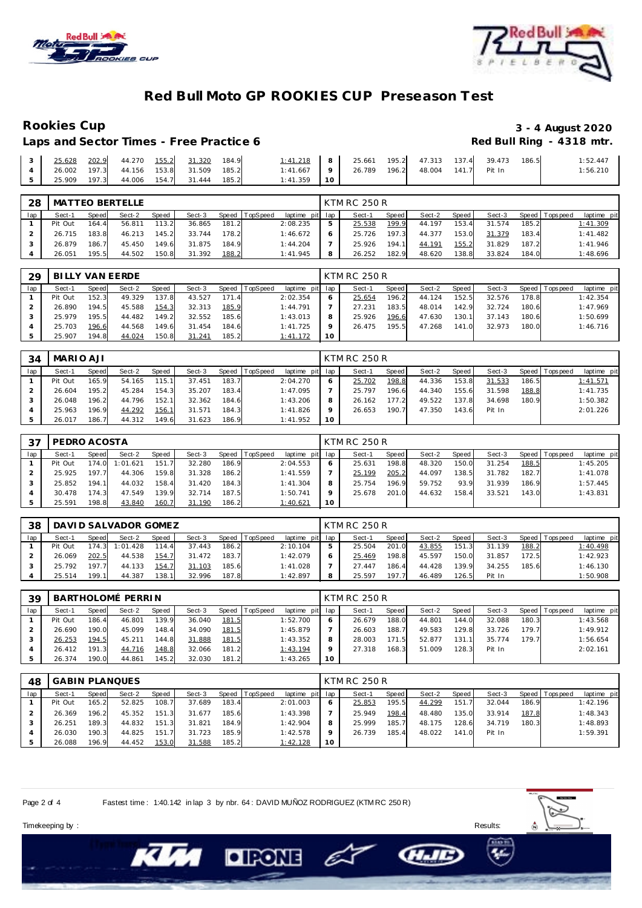

Laps and Sector Times - Free Practice 6



### **Red Bull Moto GP ROOKIES CUP Preseason Test**

# Rookies Cup<br>
1920 - 3 - 4 August 2020<br>
Red Bull Ring - 4318 mtr.

|  |  |                                                                                      |  |                                             |  |  |  | 1:52.447 |
|--|--|--------------------------------------------------------------------------------------|--|---------------------------------------------|--|--|--|----------|
|  |  | 4 26.002 197.3 44.156 153.8 31.509 185.2                                             |  | 1:41.667 9 26.789 196.2 48.004 141.7 Pit In |  |  |  | 1:56.210 |
|  |  | $\begin{bmatrix} 5 & 25.909 & 197.3 & 44.006 & 154.7 & 31.444 & 185.2 \end{bmatrix}$ |  | $1:41.359$ 10                               |  |  |  |          |

| 28  |         |       | <b>MATTEO BERTELLE</b> |       |        |       |                |                 |   | KTM RC 250 R |       |        |       |        |       |                 |             |
|-----|---------|-------|------------------------|-------|--------|-------|----------------|-----------------|---|--------------|-------|--------|-------|--------|-------|-----------------|-------------|
| lap | Sect-1  | Speed | Sect-2                 | Speed | Sect-3 |       | Speed TopSpeed | laptime pit lap |   | Sect-1       | Speed | Sect-2 | Speed | Sect-3 |       | Speed Tops peed | laptime pit |
|     | Pit Out | 164.4 | 56.811                 | 113.2 | 36.865 | 181.2 |                | 2:08.235        |   | 25.538       | 199.9 | 44.197 | 153.4 | 31.574 | 185.2 |                 | 1:41.309    |
|     | 26.715  | 183.8 | 46.213                 | 145.2 | 33.744 | 178.2 |                | 1:46.672        | 6 | 25.726       | 197.3 | 44.377 | 153.0 | 31.379 | 183.4 |                 | 1:41.482    |
|     | 26.879  | 186.7 | 45.450                 | 149.6 | 31.875 | 184.9 |                | 1:44.204        |   | 25.926       | 194.1 | 44.191 | 155.2 | 31.829 | 187.2 |                 | 1:41.946    |
|     | 26.051  | 195.5 | 44.502                 | 150.8 | 31.392 | 188.2 |                | 1:41.945        | 8 | 26.252       | 182.9 | 48.620 | 138.8 | 33.824 | 184.0 |                 | 1:48.696    |

| 29  |         |       | BILLY VAN EERDE |       |        |       |          |                 |                 | KTM RC 250 R |       |        |        |        |       |                 |             |
|-----|---------|-------|-----------------|-------|--------|-------|----------|-----------------|-----------------|--------------|-------|--------|--------|--------|-------|-----------------|-------------|
| lap | Sect-1  | Speed | Sect-2          | Speed | Sect-3 | Speed | TopSpeed | laptime pit lap |                 | Sect-1       | Speed | Sect-2 | Speed  | Sect-3 |       | Speed Tops peed | laptime pit |
|     | Pit Out | 152.3 | 49.329          | 137.8 | 43.527 | 171.4 |          | 2:02.354        |                 | 25.654       | 196.2 | 44.124 | 152.5  | 32.576 | 178.8 |                 | 1:42.354    |
|     | 26.890  | 194.5 | 45.588          | 154.3 | 32.313 | 185.9 |          | 1:44.791        |                 | 27.231       | 183.5 | 48.014 | 142.9  | 32.724 | 180.6 |                 | 1:47.969    |
|     | 25.979  | 195.5 | 44.482          | 149.2 | 32.552 | 185.6 |          | 1:43.013        | 8               | 25.926       | 196.6 | 47.630 | 130.11 | 37.143 | 180.6 |                 | 1:50.699    |
|     | 25.703  | 196.6 | 44.568          | 149.6 | 31.454 | 184.6 |          | 1:41.725        |                 | 26.475       | 195.5 | 47.268 | 141.0  | 32.973 | 180.0 |                 | 1:46.716    |
|     | 25.907  | 194.8 | 44.024          | 150.8 | 31.241 | 185.2 |          | 1:41.172        | 10 <sup>°</sup> |              |       |        |        |        |       |                 |             |

| 34  | MARIO AJI |       |        |              |        |       |                |                 |    | <b>KTM RC 250 R</b> |       |        |       |        |       |                 |             |
|-----|-----------|-------|--------|--------------|--------|-------|----------------|-----------------|----|---------------------|-------|--------|-------|--------|-------|-----------------|-------------|
| lap | Sect-1    | Speed | Sect-2 | <b>Speed</b> | Sect-3 |       | Speed TopSpeed | laptime pit lap |    | Sect-1              | Speed | Sect-2 | Speed | Sect-3 |       | Speed Tops peed | laptime pit |
|     | Pit Out   | 165.9 | 54.165 | 115.1        | 37.451 | 183.7 |                | 2:04.270        |    | 25.702              | 198.8 | 44.336 | 153.8 | 31.533 | 186.5 |                 | 1:41.571    |
|     | 26.604    | 195.2 | 45.284 | 154.3        | 35.207 | 183.4 |                | 1:47.095        |    | 25.797              | 196.6 | 44.340 | 155.6 | 31.598 | 188.8 |                 | 1:41.735    |
|     | 26.048    | 196.2 | 44.796 | 152.1        | 32.362 | 184.6 |                | 1:43.206        |    | 26.162              | 177.2 | 49.522 | 137.8 | 34.698 | 180.9 |                 | 1:50.382    |
|     | 25.963    | 196.9 | 44.292 | 156.1        | 31.571 | 184.3 |                | 1:41.826        |    | 26.653              | 190.7 | 47.350 | 143.6 | Pit In |       |                 | 2:01.226    |
|     | 26.017    | 186.7 | 44.312 | 149.6        | 31.623 | 186.9 |                | 1:41.952        | 10 |                     |       |        |       |        |       |                 |             |

| 37  | PEDRO ACOSTA |       |          |       |        |       |                 |             |     | KTM RC 250 R |         |        |       |        |       |                |             |
|-----|--------------|-------|----------|-------|--------|-------|-----------------|-------------|-----|--------------|---------|--------|-------|--------|-------|----------------|-------------|
| lap | Sect-1       | Speed | Sect-2   | Speed | Sect-3 | Speed | <b>TopSpeed</b> | laptime pit | lap | Sect-1       | Speed I | Sect-2 | Speed | Sect-3 |       | Speed Topspeed | laptime pit |
|     | Pit Out      | 174.0 | 1:01.621 | 151.7 | 32.280 | 186.9 |                 | 2:04.553    |     | 25.631       | 198.8   | 48.320 | 150.0 | 31.254 | 188.5 |                | 1:45.205    |
|     | 25.925       | 197.7 | 44.306   | 159.8 | 31.328 | 186.2 |                 | 1:41.559    |     | 25.199       | 205.2   | 44.097 | 138.5 | 31.782 | 182.7 |                | 1:41.078    |
|     | 25.852       | 194.1 | 44.032   | 158.4 | 31.420 | 184.3 |                 | 1: 41.304   |     | 25.754       | 196.9   | 59.752 | 93.9  | 31.939 | 186.9 |                | 1:57.445    |
|     | 30.478       | 174.3 | 47.549   | 139.9 | 32.714 | 187.5 |                 | 1:50.741    |     | 25.678       | 201.0   | 44.632 | 158.4 | 33.521 | 143.0 |                | 1:43.831    |
|     | 25.591       | 198.8 | 43.840   | 160.7 | 31.190 | 186.2 |                 | 1:40.621    | 10  |              |         |        |       |        |       |                |             |

| 38  |         |       | DAVID SALVADOR GOMEZ |       |        |       |                |                 |   | KTM RC 250 R |       |        |       |        |       |                   |             |
|-----|---------|-------|----------------------|-------|--------|-------|----------------|-----------------|---|--------------|-------|--------|-------|--------|-------|-------------------|-------------|
| lap | Sect-1  | Speed | Sect-2               | Speed | Sect-3 |       | Speed TopSpeed | laptime pit lap |   | Sect-1       | Speed | Sect-2 | Speed | Sect-3 |       | Speed   Tops peed | laptime pit |
|     | Pit Out |       | 174.3 1:01.428       | 114.4 | 37.443 | 186.2 |                | 2:10.104        |   | 25.504       | 201.0 | 43.855 | 151.3 | 31.139 | 188.2 |                   | 1:40.498    |
|     | 26.069  | 202.5 | 44.538               | 154.7 | 31.472 | 183.7 |                | 1:42.079        |   | 25.469       | 198.8 | 45.597 | 150.0 | 31.857 | 172.5 |                   | 1:42.923    |
|     | 25.792  | 197.7 | 44.133               | 154.7 | 31.103 | 185.6 |                | 1:41.028        |   | 27.447       | 186.4 | 44.428 | 139.9 | 34.255 | 185.6 |                   | 1:46.130    |
|     | 25.514  | 199.1 | 44.387               | 138.1 | 32.996 | 187.8 |                | 1:42.897        | 8 | 25.597       | 197.7 | 46.489 | 126.5 | Pit In |       |                   | 1:50.908    |

| 39  |         |                                                                                     | BARTHOLOMÉ PERRIN |       |        |       |  |          |    | KTM RC 250 R |       |        |       |        |       |                 |             |
|-----|---------|-------------------------------------------------------------------------------------|-------------------|-------|--------|-------|--|----------|----|--------------|-------|--------|-------|--------|-------|-----------------|-------------|
| lap | Sect-1  | Sect-3<br>laptime pit lap<br>Sect-2<br><b>TopSpeed</b><br>Speed T<br>Speed<br>Speed |                   |       |        |       |  |          |    | Sect-1       | Speed | Sect-2 | Speed | Sect-3 |       | Speed Tops peed | laptime pit |
|     | Pit Out | 186.4                                                                               | 46.801            | 139.9 | 36.040 | 181.5 |  | 1:52.700 |    | 26.679       | 188.0 | 44.801 | 144.0 | 32.088 | 180.3 |                 | 1:43.568    |
|     | 26.690  | 190.O                                                                               | 45.099            | 148.4 | 34.090 | 181.5 |  | 1:45.879 |    | 26.603       | 188.7 | 49.583 | 129.8 | 33.726 | 179.7 |                 | 1:49.912    |
|     | 26.253  | 194.5                                                                               | 45.211            | 144.8 | 31.888 | 181.5 |  | 1:43.352 |    | 28.003       | 171.5 | 52.877 | 131.1 | 35.774 | 179.7 |                 | 1:56.654    |
|     | 26.412  | 191.3                                                                               | 44.716            | 148.8 | 32.066 | 181.2 |  | 1:43.194 |    | 27.318       | 168.3 | 51.009 | 128.3 | Pit In |       |                 | 2:02.161    |
|     | 26.374  | 190.0                                                                               | 44.861            | 145.2 | 32.030 | 181.2 |  | 1:43.265 | 10 |              |       |        |       |        |       |                 |             |

| 48  |         |       | <b>GABIN PLANQUES</b> |       |        |       |          |                 |         | KTM RC 250 R |       |        |         |        |       |                 |             |
|-----|---------|-------|-----------------------|-------|--------|-------|----------|-----------------|---------|--------------|-------|--------|---------|--------|-------|-----------------|-------------|
| lap | Sect-1  | Speed | Sect-2                | Speed | Sect-3 | Speed | TopSpeed | laptime pit lap |         | Sect-1       | Speed | Sect-2 | Speed I | Sect-3 |       | Speed Tops peed | laptime pit |
|     | Pit Out | 165.2 | 52.825                | 108.7 | 37.689 | 183.4 |          | 2:01.003        |         | 25.853       | 195.5 | 44.299 | 151.7   | 32.044 | 186.9 |                 | 1:42.196    |
|     | 26.369  | 196.2 | 45.352                | 151.3 | 31.677 | 185.6 |          | 1:43.398        |         | 25.949       | 198.4 | 48.480 | 135.0   | 33.914 | 187.8 |                 | 1:48.343    |
|     | 26.251  | 189.3 | 44.832                | 151.3 | 31.821 | 184.9 |          | 1:42.904        | 8       | 25.999       | 185.7 | 48.175 | 128.6   | 34.719 | 180.3 |                 | 1:48.893    |
|     | 26.030  | 190.3 | 44.825                | 151.7 | 31.723 | 185.9 |          | 1:42.578        | $\circ$ | 26.739       | 185.4 | 48.022 | 141.0   | Pit In |       |                 | 1:59.391    |
|     | 26.088  | 196.9 | 44.452                | 153.0 | 31.588 | 185.2 |          | 1:42.128        | 10      |              |       |        |         |        |       |                 |             |

e

Page 2 of 4 Fastest time : 1:40.142 in lap 3 by nbr. 64 : DAVID MUÑOZ RODRIGUEZ (KTM RC 250 R)

**DIPONE** 



**CHAID** 

Timekeeping by : Results: Results: Results: Results: Results: Results: Results: Results: Results: Results: Results: Results: Results: Results: Results: Results: Results: Results: Results: Results: Results: Results: Results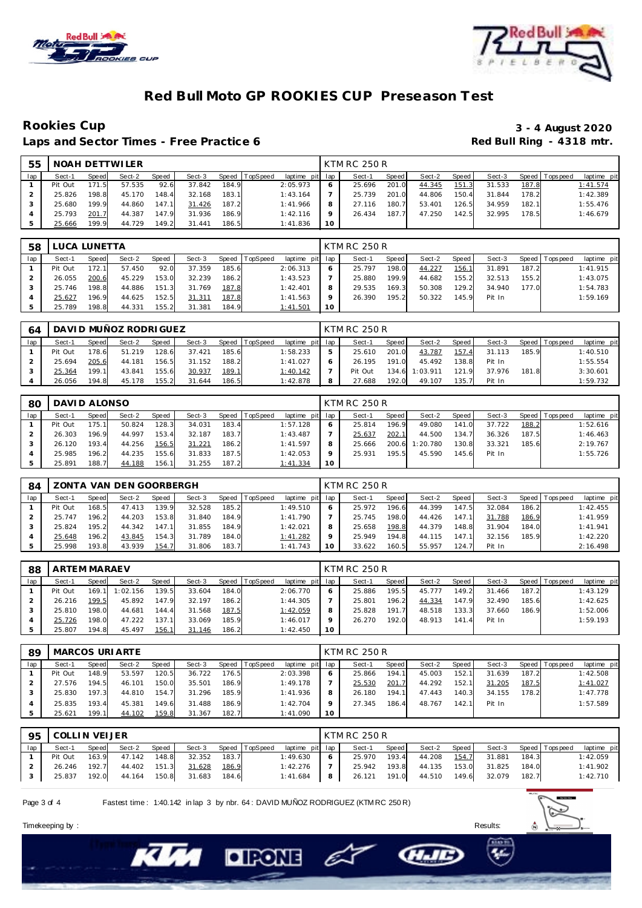



### **Red Bull Moto GP ROOKIES CUP Preseason Test**

Laps and Sector Times - Free Practice 6

# Rookies Cup<br>
1992 - 3 - 4 August 2020<br>
Red Bull Ring - 4318 mtr.

| 55  |         |       | NOAH DETTWILER |       |        |       |          |                 |    | KTM RC 250 R |       |        |         |        |       |                 |             |
|-----|---------|-------|----------------|-------|--------|-------|----------|-----------------|----|--------------|-------|--------|---------|--------|-------|-----------------|-------------|
| lap | Sect-1  | Speed | Sect-2         | Speed | Sect-3 | Speed | TopSpeed | laptime pit lap |    | Sect-1       | Speed | Sect-2 | Speed I | Sect-3 |       | Speed Tops peed | laptime pit |
|     | Pit Out | 171.5 | 57.535         | 92.6  | 37.842 | 184.9 |          | 2:05.973        |    | 25.696       | 201.0 | 44.345 | 151.3   | 31.533 | 187.8 |                 | 1:41.574    |
|     | 25.826  | 198.8 | 45.170         | 148.4 | 32.168 | 183.1 |          | 1:43.164        |    | 25.739       | 201.0 | 44.806 | 150.4   | 31.844 | 178.2 |                 | 1:42.389    |
|     | 25.680  | 199.9 | 44.860         | 147.1 | 31.426 | 187.2 |          | 1:41.966        |    | 27.116       | 180.7 | 53.401 | 126.5   | 34.959 | 182.1 |                 | 1:55.476    |
|     | 25.793  | 201.7 | 44.387         | 147.9 | 31.936 | 186.9 |          | 1:42.116        |    | 26.434       | 187.7 | 47.250 | 142.5   | 32.995 | 178.5 |                 | 1:46.679    |
|     | 25.666  | 199.9 | 44.729         | 149.2 | 31.441 | 186.5 |          | 1:41.836        | 10 |              |       |        |         |        |       |                 |             |

| 58  |         | LUCA LUNETTA                                              |        |       |        |       |  |          |                 | <b>KTM RC 250 R</b> |       |        |       |        |       |                |             |
|-----|---------|-----------------------------------------------------------|--------|-------|--------|-------|--|----------|-----------------|---------------------|-------|--------|-------|--------|-------|----------------|-------------|
| lap | Sect-1  | Sect-2<br>Sect-3<br>TopSpeed<br>Speed  <br>Speed<br>Speed |        |       |        |       |  |          | laptime pit lap | Sect-1              | Speed | Sect-2 | Speed | Sect-3 |       | Speed Topspeed | laptime pit |
|     | Pit Out | 172.1                                                     | 57.450 | 92.0  | 37.359 | 185.6 |  | 2:06.313 | <sub>o</sub>    | 25.797              | 198.0 | 44.227 | 156.1 | 31.891 | 187.2 |                | 1:41.915    |
|     | 26.055  | 200.6                                                     | 45.229 | 153.0 | 32.239 | 186.2 |  | 1:43.523 |                 | 25.880              | 199.9 | 44.682 | 155.2 | 32.513 | 155.2 |                | 1:43.075    |
|     | 25.746  | 198.8                                                     | 44.886 | 151.3 | 31.769 | 187.8 |  | 1:42.401 | 8               | 29.535              | 169.3 | 50.308 | 129.2 | 34.940 | 177.0 |                | 1:54.783    |
|     | 25.627  | 196.9                                                     | 44.625 | 152.5 | 31.311 | 187.8 |  | 1:41.563 |                 | 26.390              | 195.2 | 50.322 | 145.9 | Pit In |       |                | 1:59.169    |
|     | 25.789  | 198.8                                                     | 44.331 | 155.2 | 31.381 | 184.9 |  | 1:41.501 | 10              |                     |       |        |       |        |       |                |             |

| 64  |         |       | DAVI D MUÑOZ RODRI GUEZ |       |        |       |                |                 | KTM RC 250 R |         |          |       |        |       |                 |             |
|-----|---------|-------|-------------------------|-------|--------|-------|----------------|-----------------|--------------|---------|----------|-------|--------|-------|-----------------|-------------|
| lap | Sect-1  | Speed | Sect-2                  | Speed | Sect-3 |       | Speed TopSpeed | laptime pit lap | Sect-1       | Speed I | Sect-2   | Speed | Sect-3 |       | Speed Tops peed | laptime pit |
|     | Pit Out | 178.6 | 51.219                  | 128.6 | 37.421 | 185.6 |                | 1:58.233        | 25.610       | 201.0   | 43.787   | 157.4 | 31.113 | 185.9 |                 | 1:40.510    |
|     | 25.694  | 205.6 | 44.181                  | 156.5 | 31.152 | 188.2 |                | 1:41.027        | 26.195       | 191.0   | 45.492   | 138.8 | Pit In |       |                 | 1:55.554    |
|     | 25.364  | 199.1 | 43.841                  | 155.6 | 30.937 | 189.1 |                | <u>1:40.142</u> | Pit Out      | 134.6   | 1:03.911 | 121.9 | 37.976 | 181.8 |                 | 3:30.601    |
|     | 26.056  | 194.8 | 45.178                  | 155.2 | 31.644 | 186.5 |                | 1:42.878        | 27.688       | 192.0   | 49.107   | 135.7 | Pit In |       |                 | 1:59.732    |

| 80  | DAVI D ALONSO |       |        |       |        |       |                |                 |    | KTM RC 250 R |       |          |       |        |       |                |             |
|-----|---------------|-------|--------|-------|--------|-------|----------------|-----------------|----|--------------|-------|----------|-------|--------|-------|----------------|-------------|
| lap | Sect-1        | Speed | Sect-2 | Speed | Sect-3 |       | Speed TopSpeed | laptime pit lap |    | Sect-1       | Speed | Sect-2   | Speed | Sect-3 |       | Speed Topspeed | laptime pit |
|     | Pit Out       | 175.1 | 50.824 | 128.3 | 34.031 | 183.4 |                | 1:57.128        | O  | 25.814       | 196.9 | 49.080   | 141.0 | 37.722 | 188.2 |                | 1:52.616    |
|     | 26.303        | 196.9 | 44.997 | 153.4 | 32.187 | 183.7 |                | 1:43.487        |    | 25.637       | 202.1 | 44.500   | 134.7 | 36.326 | 187.5 |                | 1:46.463    |
|     | 26.120        | 193.4 | 44.256 | 156.5 | 31.221 | 186.2 |                | 1:41.597        | 8  | 25.666       | 200.6 | 1:20.780 | 130.8 | 33.321 | 185.6 |                | 2:19.767    |
|     | 25.985        | 196.2 | 44.235 | 155.6 | 31.833 | 187.5 |                | 1:42.053        | Q  | 25.931       | 195.5 | 45.590   | 145.6 | Pit In |       |                | 1:55.726    |
|     | 25.891        | 188.7 | 44.188 | 156.1 | 31.255 | 187.2 |                | 1:41.334        | 10 |              |       |          |       |        |       |                |             |

| 84  |         |              | ZONTA VAN DEN GOORBERGH |       |        |       |                 |                 | <b>KTM RC 250 R</b> |       |        |       |        |       |            |             |
|-----|---------|--------------|-------------------------|-------|--------|-------|-----------------|-----------------|---------------------|-------|--------|-------|--------|-------|------------|-------------|
| lap | Sect-1  | <b>Speed</b> | Sect-2                  | Speed | Sect-3 | Speed | <b>TopSpeed</b> | laptime pit lap | Sect-1              | Speed | Sect-2 | Speed | Sect-3 | Speed | Tops pee d | laptime pit |
|     | Pit Out | 168.5        | 47.413                  | 139.9 | 32.528 | 185.2 |                 | 1:49.510        | 25.972              | 196.6 | 44.399 | 147.5 | 32.084 | 186.2 |            | 1:42.455    |
|     | 25.747  | 196.2        | 44.203                  | 153.8 | 31.840 | 184.9 |                 | 1:41.790        | 25.745              | 198.0 | 44.426 | 147.1 | 31.788 | 186.9 |            | 1:41.959    |
|     | 25.824  | 195.2        | 44.342                  | 147.1 | 31.855 | 184.9 |                 | 1:42.021        | 25.658              | 198.8 | 44.379 | 148.8 | 31.904 | 184.0 |            | 1:41.941    |
|     | 25.648  | 196.2        | 43.845                  | 154.3 | 31.789 | 184.0 |                 | 1:41.282        | 25.949              | 194.8 | 44.115 | 147.1 | 32.156 | 185.9 |            | 1:42.220    |
|     | 25.998  | 193.8        | 43.939                  | 154.7 | 31.806 | 183.7 |                 | 1:41.743        | 33.622              | 160.5 | 55.957 | 124.7 | Pit In |       |            | 2:16.498    |

| 88  | ARTEM MARAEV |       |          |       |        |       |                |                 |    | KTM RC 250 R |       |        |       |        |       |                |             |
|-----|--------------|-------|----------|-------|--------|-------|----------------|-----------------|----|--------------|-------|--------|-------|--------|-------|----------------|-------------|
| lap | Sect-1       | Speed | Sect-2   | Speed | Sect-3 |       | Speed TopSpeed | laptime pit lap |    | Sect-1       | Speed | Sect-2 | Speed | Sect-3 |       | Speed Topspeed | laptime pit |
|     | Pit Out      | 169.1 | 1:02.156 | 139.5 | 33.604 | 184.0 |                | 2:06.770        | 6  | 25.886       | 195.5 | 45.777 | 149.2 | 31.466 | 187.2 |                | 1:43.129    |
|     | 26.216       | 199.5 | 45.892   | 147.9 | 32.197 | 186.2 |                | 1:44.305        |    | 25.801       | 196.2 | 44.334 | 147.9 | 32.490 | 185.6 |                | 1:42.625    |
|     | 25.810       | 198.0 | 44.681   | 144.4 | 31.568 | 187.5 |                | 1:42.059        | 8  | 25.828       | 191.7 | 48.518 | 133.3 | 37.660 | 186.9 |                | 1:52.006    |
|     | 25.726       | 198.0 | 47.222   | 137.1 | 33.069 | 185.9 |                | 1:46.017        | o  | 26.270       | 192.0 | 48.913 | 141.4 | Pit In |       |                | 1:59.193    |
|     | 25.807       | 194.8 | 45.497   | 156.1 | 31.146 | 186.2 |                | 1:42.450        | 10 |              |       |        |       |        |       |                |             |

| 89  |         |       | MARCOS URI ARTE |       |        |       |                |                 |         | KTM RC 250 R |       |        |       |        |       |                 |             |
|-----|---------|-------|-----------------|-------|--------|-------|----------------|-----------------|---------|--------------|-------|--------|-------|--------|-------|-----------------|-------------|
| lap | Sect-1  | Speed | Sect-2          | Speed | Sect-3 |       | Speed TopSpeed | laptime pit lap |         | Sect-1       | Speed | Sect-2 | Speed | Sect-3 |       | Speed Tops peed | laptime pit |
|     | Pit Out | 148.9 | 53.597          | 120.5 | 36.722 | 176.5 |                | 2:03.398        | 6       | 25.866       | 194.1 | 45.003 | 152.1 | 31.639 | 187.2 |                 | 1:42.508    |
|     | 27.576  | 194.5 | 46.101          | 150.0 | 35.501 | 186.9 |                | 1:49.178        |         | 25.530       | 201.7 | 44.292 | 152.1 | 31.205 | 187.5 |                 | 1:41.027    |
|     | 25.830  | 197.3 | 44.810          | 154.7 | 31.296 | 185.9 |                | 1:41.936        | 8       | 26.180       | 194.1 | 47.443 | 140.3 | 34.155 | 178.2 |                 | 1:47.778    |
|     | 25.835  | 193.4 | 45.381          | 149.6 | 31.488 | 186.9 |                | 1:42.704        | $\circ$ | 27.345       | 186.4 | 48.767 | 142.1 | Pit In |       |                 | 1:57.589    |
|     | 25.621  | 199.1 | 44.102          | 159.8 | 31.367 | 182.7 |                | 1:41.090        | 10      |              |       |        |       |        |       |                 |             |

| 95  | COLLIN VEIJER |       |              |       |        |       |                       |                 |                | KTM RC 250 R |       |                     |       |        |       |                       |             |
|-----|---------------|-------|--------------|-------|--------|-------|-----------------------|-----------------|----------------|--------------|-------|---------------------|-------|--------|-------|-----------------------|-------------|
| lap | Sect-1        | Speed | Sect-2       | Speed |        |       | Sect-3 Speed TopSpeed | laptime pit lap |                | Sect-1       | Speed | Sect-2 Speed        |       |        |       | Sect-3 Speed Topspeed | laptime pit |
|     | Pit Out       | 163.9 | 47.142       | 148.8 | 32.352 | 183.7 |                       | 1:49.630        | 6              | 25.970       | 193.4 | 44.208              | 154.7 | 31.881 | 184.3 |                       | 1:42.059    |
|     | 26.246 192.7  |       | 44.402 151.3 |       | 31.628 | 186.9 |                       | 1:42.276        |                | 25.942       |       | 193.8 44.135        | 153.0 | 31.825 | 184.0 |                       | 1:41.902    |
|     | 25.837        | 192.0 | 44.164 150.8 |       | 31.683 | 184.6 |                       | 1:41.684        | 8 <sup>1</sup> |              |       | 26.121 191.0 44.510 | 149.6 | 32.079 | 182.7 |                       | 1:42.710    |

E

**CHAIL** 

Page 3 of 4 Fastest time: 1:40.142 in lap 3 by nbr. 64: DAVID MUÑOZ RODRIGUEZ (KTM RC 250 R)

**DIRONE** 



Timekeeping by : Results: